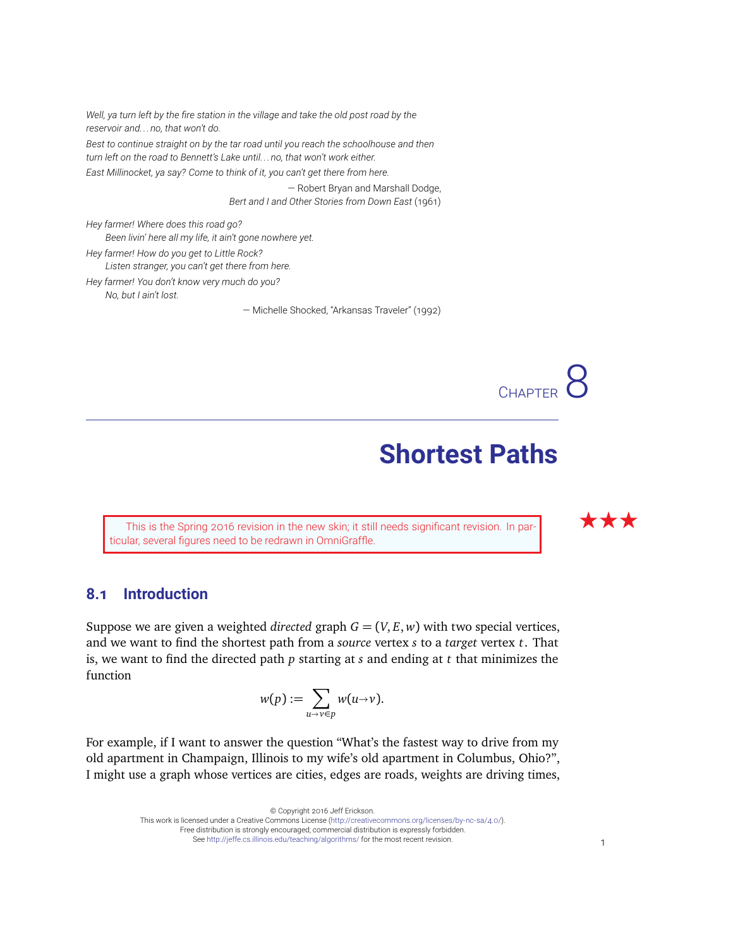*Well, ya turn left by the fire station in the village and take the old post road by the reservoir and. . . no, that won't do.*

*Best to continue straight on by the tar road until you reach the schoolhouse and then turn left on the road to Bennett's Lake until. . . no, that won't work either.*

*East Millinocket, ya say? Come to think of it, you can't get there from here.*

— Robert Bryan and Marshall Dodge,

*Bert and I and Other Stories from Down East* (1961)

*Hey farmer! Where does this road go? Been livin' here all my life, it ain't gone nowhere yet.*

*Hey farmer! How do you get to Little Rock? Listen stranger, you can't get there from here.*

*Hey farmer! You don't know very much do you?*

*No, but I ain't lost.*

— Michelle Shocked, "Arkansas Traveler" (1992)

**CHAPTER** 

# **Shortest Paths**

This is the Spring 2016 revision in the new skin; it still needs significant revision. In particular, several figures need to be redrawn in OmniGraffle.

## **8.1 Introduction**

Suppose we are given a weighted *directed* graph  $G = (V, E, w)$  with two special vertices, and we want to find the shortest path from a *source* vertex *s* to a *target* vertex *t*. That is, we want to find the directed path *p* starting at *s* and ending at *t* that minimizes the function

$$
w(p) := \sum_{u \to v \in p} w(u \to v).
$$

For example, if I want to answer the question "What's the fastest way to drive from my old apartment in Champaign, Illinois to my wife's old apartment in Columbus, Ohio?", I might use a graph whose vertices are cities, edges are roads, weights are driving times,

> © Copyright 2016 Jeff Erickson. This work is licensed under a Creative Commons License [\(http://creativecommons.org/licenses/by-nc-sa/4.0/\)](http://creativecommons.org/licenses/by-nc-sa/4.0/). Free distribution is strongly encouraged; commercial distribution is expressly forbidden. See <http://jeffe.cs.illinois.edu/teaching/algorithms/> for the most recent revision. 1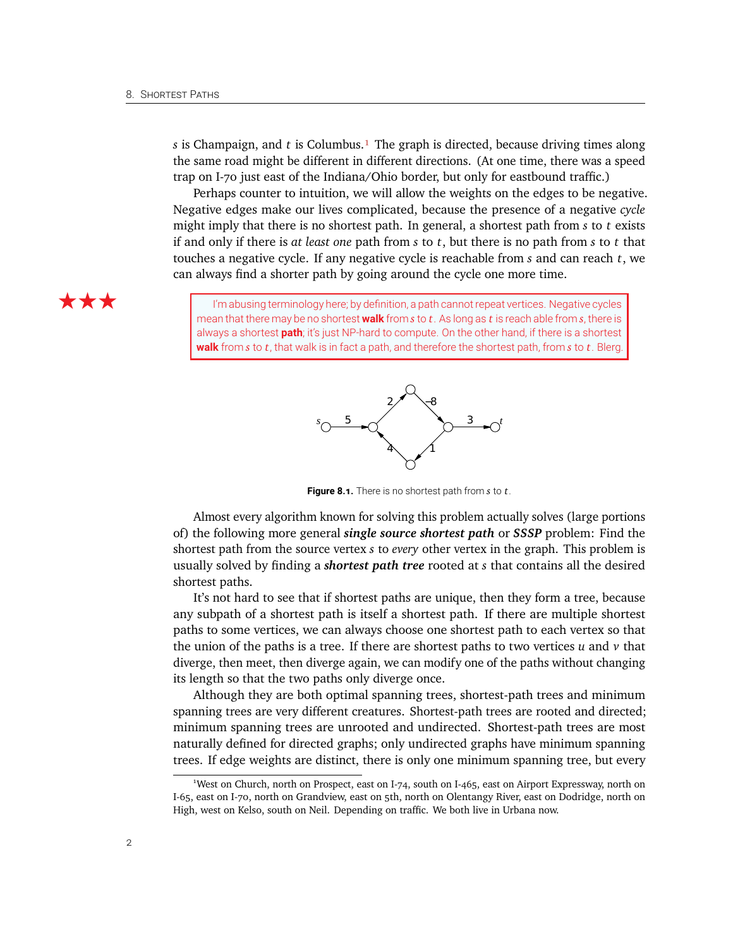$s$  is Champaign, and  $t$  is Columbus.<sup>1</sup> The graph is directed, because driving times along the same road might be different in different directions. (At one time, there was a speed trap on I-70 just east of the Indiana/Ohio border, but only for eastbound traffic.)

Perhaps counter to intuition, we will allow the weights on the edges to be negative. Negative edges make our lives complicated, because the presence of a negative *cycle* might imply that there is no shortest path. In general, a shortest path from *s* to *t* exists if and only if there is *at least one* path from *s* to *t*, but there is no path from *s* to *t* that touches a negative cycle. If any negative cycle is reachable from *s* and can reach *t*, we can always find a shorter path by going around the cycle one more time.

 $\blacktriangleright\blacktriangleright\blacktriangleright$  I'm abusing terminology here; by definition, a path cannot repeat vertices. Negative cycles mean that there may be no shortest **walk** from *s* to *t*. As long as *t* is reach able from *s*, there is always a shortest **path**; it's just NP-hard to compute. On the other hand, if there is a shortest **walk** from *s* to *t*, that walk is in fact a path, and therefore the shortest path, from *s* to *t*. Blerg.



**Figure 8.1.** There is no shortest path from *s* to *t*.

Almost every algorithm known for solving this problem actually solves (large portions of) the following more general *single source shortest path* or *SSSP* problem: Find the shortest path from the source vertex *s* to *every* other vertex in the graph. This problem is usually solved by finding a *shortest path tree* rooted at *s* that contains all the desired shortest paths.

It's not hard to see that if shortest paths are unique, then they form a tree, because any subpath of a shortest path is itself a shortest path. If there are multiple shortest paths to some vertices, we can always choose one shortest path to each vertex so that the union of the paths is a tree. If there are shortest paths to two vertices  $u$  and  $v$  that diverge, then meet, then diverge again, we can modify one of the paths without changing its length so that the two paths only diverge once.

Although they are both optimal spanning trees, shortest-path trees and minimum spanning trees are very different creatures. Shortest-path trees are rooted and directed; minimum spanning trees are unrooted and undirected. Shortest-path trees are most naturally defined for directed graphs; only undirected graphs have minimum spanning trees. If edge weights are distinct, there is only one minimum spanning tree, but every

<span id="page-1-0"></span><sup>&</sup>lt;sup>1</sup>West on Church, north on Prospect, east on I-74, south on I-465, east on Airport Expressway, north on I-65, east on I-70, north on Grandview, east on 5th, north on Olentangy River, east on Dodridge, north on High, west on Kelso, south on Neil. Depending on traffic. We both live in Urbana now.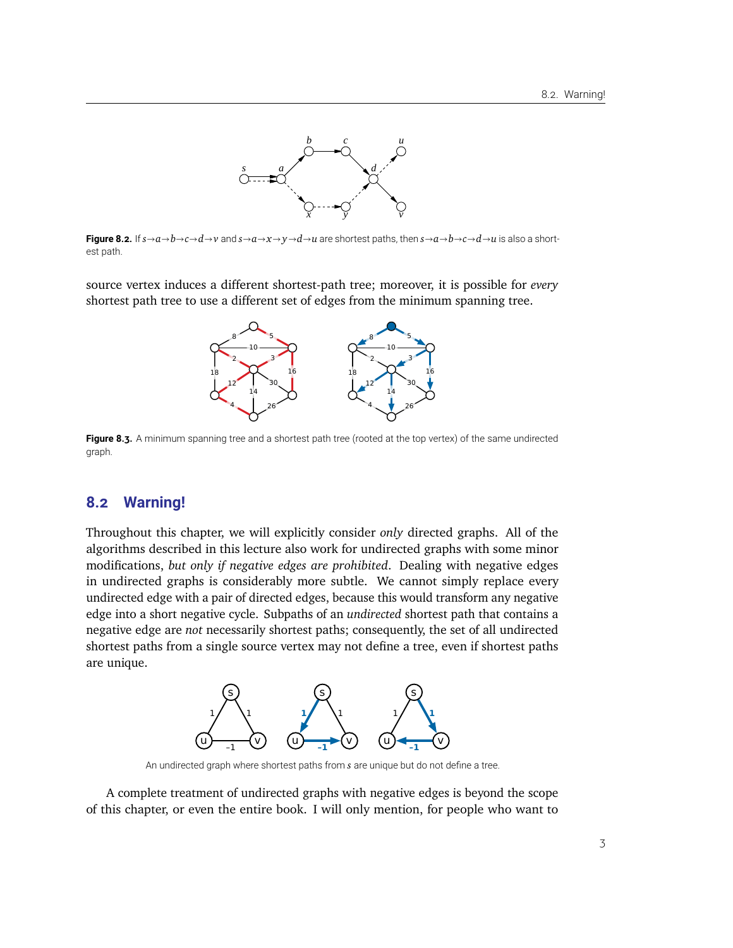

**Figure 8.2.** If  $s \rightarrow a \rightarrow b \rightarrow c \rightarrow d \rightarrow v$  and  $s \rightarrow a \rightarrow x \rightarrow y \rightarrow d \rightarrow u$  are shortest paths, then  $s \rightarrow a \rightarrow b \rightarrow c \rightarrow d \rightarrow u$  is also a shortest path.

source vertex induces a different shortest-path tree; moreover, it is possible for *every* shortest path tree to use a different set of edges from the minimum spanning tree.



Figure 8.3. A minimum spanning tree and a shortest path tree (rooted at the top vertex) of the same undirected graph.

### **8.2 Warning!**

Throughout this chapter, we will explicitly consider *only* directed graphs. All of the algorithms described in this lecture also work for undirected graphs with some minor modifications, *but only if negative edges are prohibited*. Dealing with negative edges in undirected graphs is considerably more subtle. We cannot simply replace every undirected edge with a pair of directed edges, because this would transform any negative edge into a short negative cycle. Subpaths of an *undirected* shortest path that contains a negative edge are *not* necessarily shortest paths; consequently, the set of all undirected shortest paths from a single source vertex may not define a tree, even if shortest paths are unique.



An undirected graph where shortest paths from *s* are unique but do not define a tree.

A complete treatment of undirected graphs with negative edges is beyond the scope of this chapter, or even the entire book. I will only mention, for people who want to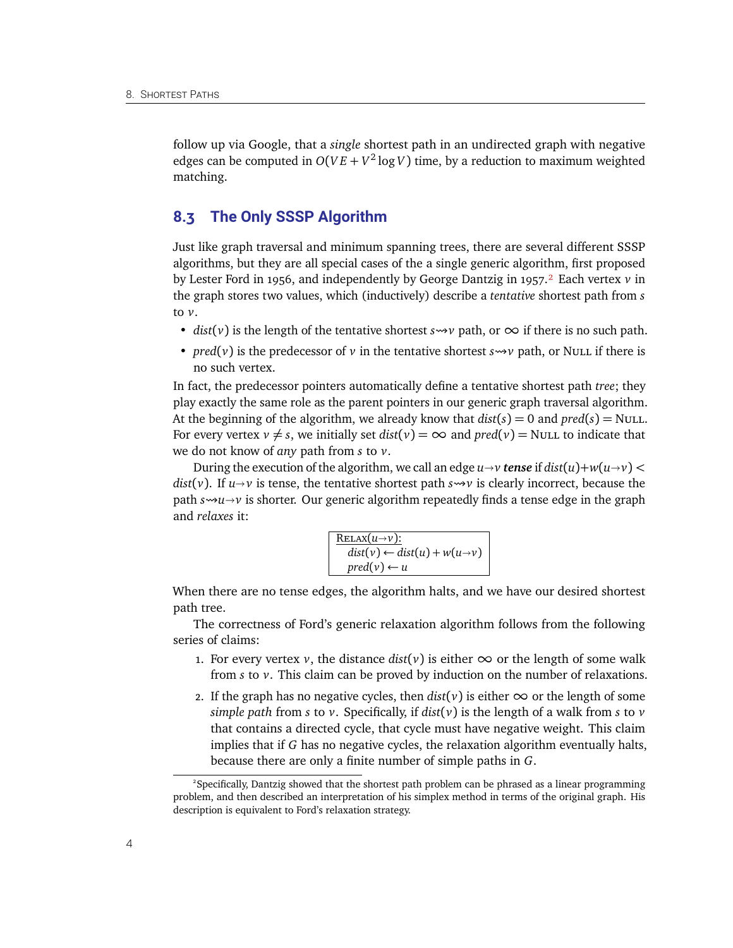follow up via Google, that a *single* shortest path in an undirected graph with negative edges can be computed in  $O(VE + V^2 \log V)$  time, by a reduction to maximum weighted matching.

## **8.3 The Only SSSP Algorithm**

Just like graph traversal and minimum spanning trees, there are several different SSSP algorithms, but they are all special cases of the a single generic algorithm, first proposed by Lester Ford in 1956, and independently by George Dantzig in 1957.<sup>2</sup> Each vertex  $\nu$  in the graph stores two values, which (inductively) describe a *tentative* shortest path from *s* to *v*.

- $dist(v)$  is the length of the tentative shortest  $s \rightarrow v$  path, or  $\infty$  if there is no such path.
- *pred*(*v*) is the predecessor of *v* in the tentative shortest *s* $\rightarrow$ *v* path, or Null if there is no such vertex.

In fact, the predecessor pointers automatically define a tentative shortest path *tree*; they play exactly the same role as the parent pointers in our generic graph traversal algorithm. At the beginning of the algorithm, we already know that  $dist(s) = 0$  and  $pred(s) = NULL$ . For every vertex  $v \neq s$ , we initially set *dist*( $v$ ) =  $\infty$  and *pred*( $v$ ) = Null to indicate that we do not know of *any* path from *s* to *v*.

During the execution of the algorithm, we call an edge  $u \rightarrow v$  tense if  $dist(u) + w(u \rightarrow v)$  < *dist*(*v*). If  $u \rightarrow v$  is tense, the tentative shortest path  $s \rightarrow v$  is clearly incorrect, because the path  $s \rightarrow u \rightarrow v$  is shorter. Our generic algorithm repeatedly finds a tense edge in the graph and *relaxes* it:

Relax(*uv*): *dist*(*v*) <sup>←</sup> *dist*(*u*) + *<sup>w</sup>*(*uv*) *pred*(*v*) ← *u*

When there are no tense edges, the algorithm halts, and we have our desired shortest path tree.

The correctness of Ford's generic relaxation algorithm follows from the following series of claims:

- 1. For every vertex *v*, the distance  $dist(v)$  is either  $\infty$  or the length of some walk from *s* to *v*. This claim can be proved by induction on the number of relaxations.
- 2. If the graph has no negative cycles, then  $dist(v)$  is either  $\infty$  or the length of some *simple path* from *s* to *v*. Specifically, if  $dist(v)$  is the length of a walk from *s* to *v* that contains a directed cycle, that cycle must have negative weight. This claim implies that if *G* has no negative cycles, the relaxation algorithm eventually halts, because there are only a finite number of simple paths in *G*.

<span id="page-3-0"></span><sup>2</sup>Specifically, Dantzig showed that the shortest path problem can be phrased as a linear programming problem, and then described an interpretation of his simplex method in terms of the original graph. His description is equivalent to Ford's relaxation strategy.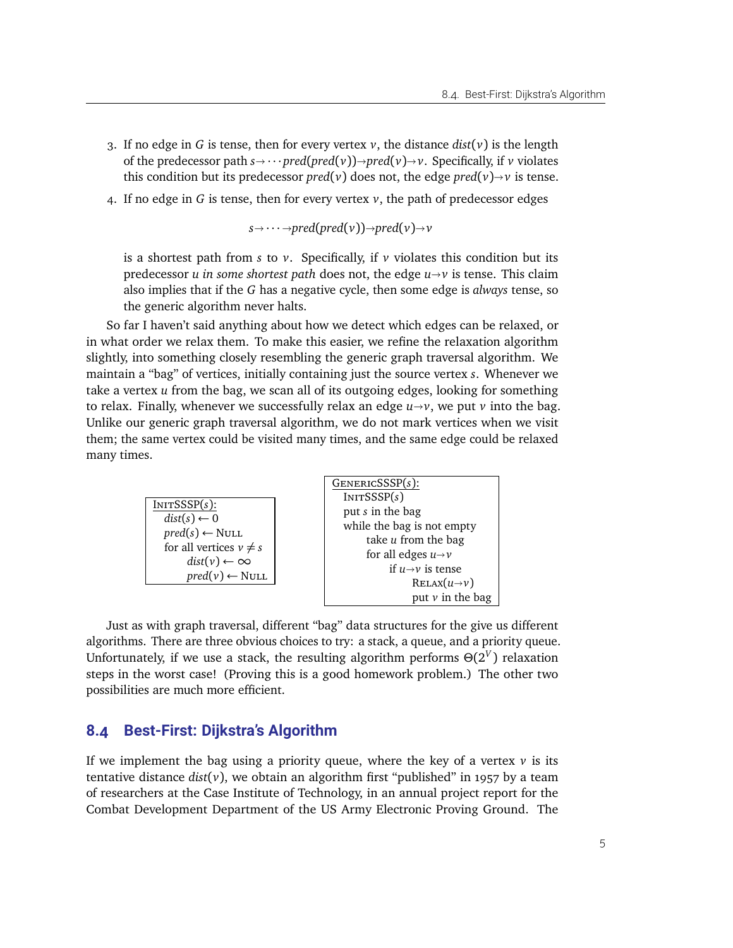- 3. If no edge in *G* is tense, then for every vertex  $v$ , the distance  $dist(v)$  is the length of the predecessor path  $s \rightarrow \cdots$  *pred*( $\text{pred}(v)$ ) $\rightarrow$ *pred*( $v$ ) $\rightarrow$ *v*. Specifically, if *v* violates this condition but its predecessor *pred*(*v*) does not, the edge *pred*(*v*) $\rightarrow$ *v* is tense.
- 4. If no edge in *G* is tense, then for every vertex  $\nu$ , the path of predecessor edges

 $s \rightarrow \cdots \rightarrow pred(pred(v)) \rightarrow pred(v) \rightarrow v$ 

is a shortest path from  $s$  to  $v$ . Specifically, if  $v$  violates this condition but its predecessor *u* in some shortest path does not, the edge  $u \rightarrow v$  is tense. This claim also implies that if the *G* has a negative cycle, then some edge is *always* tense, so the generic algorithm never halts.

So far I haven't said anything about how we detect which edges can be relaxed, or in what order we relax them. To make this easier, we refine the relaxation algorithm slightly, into something closely resembling the generic graph traversal algorithm. We maintain a "bag" of vertices, initially containing just the source vertex *s*. Whenever we take a vertex *u* from the bag, we scan all of its outgoing edges, looking for something to relax. Finally, whenever we successfully relax an edge  $u \rightarrow v$ , we put *v* into the bag. Unlike our generic graph traversal algorithm, we do not mark vertices when we visit them; the same vertex could be visited many times, and the same edge could be relaxed many times.



Just as with graph traversal, different "bag" data structures for the give us different algorithms. There are three obvious choices to try: a stack, a queue, and a priority queue. Unfortunately, if we use a stack, the resulting algorithm performs *Θ*(2 *V* ) relaxation steps in the worst case! (Proving this is a good homework problem.) The other two possibilities are much more efficient.

#### **8.4 Best-First: Dijkstra's Algorithm**

If we implement the bag using a priority queue, where the key of a vertex  $\nu$  is its tentative distance  $dist(v)$ , we obtain an algorithm first "published" in 1957 by a team of researchers at the Case Institute of Technology, in an annual project report for the Combat Development Department of the US Army Electronic Proving Ground. The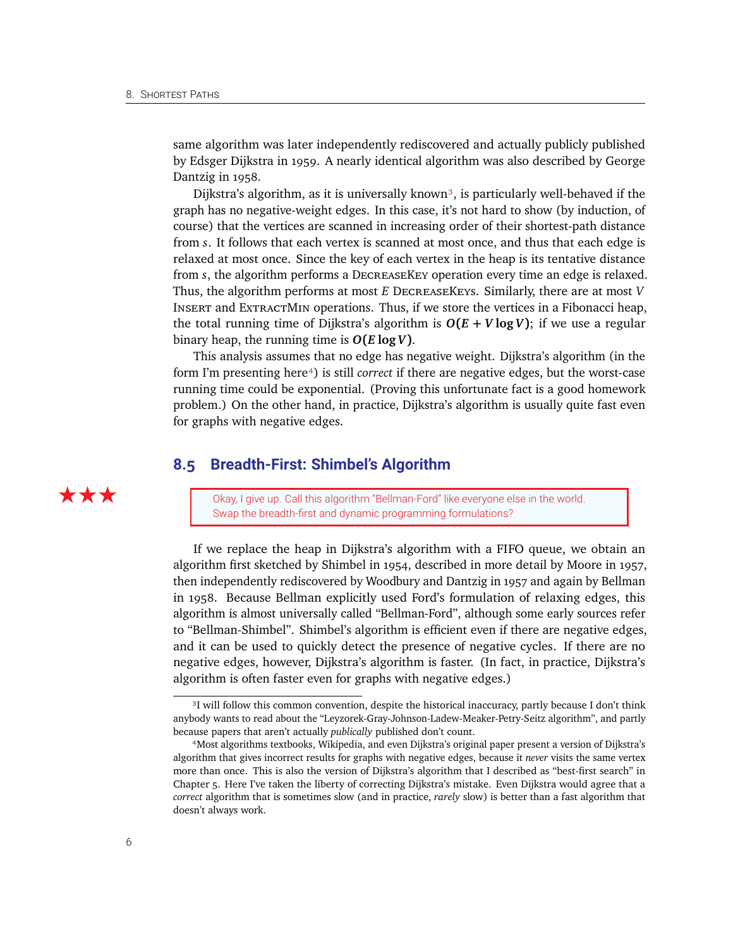same algorithm was later independently rediscovered and actually publicly published by Edsger Dijkstra in 1959. A nearly identical algorithm was also described by George Dantzig in 1958.

Dijkstra's algorithm, as it is universally known<sup>3</sup>, is particularly well-behaved if the graph has no negative-weight edges. In this case, it's not hard to show (by induction, of course) that the vertices are scanned in increasing order of their shortest-path distance from *s*. It follows that each vertex is scanned at most once, and thus that each edge is relaxed at most once. Since the key of each vertex in the heap is its tentative distance from *s*, the algorithm performs a DecreaseKey operation every time an edge is relaxed. Thus, the algorithm performs at most *E* DecreaseKeys. Similarly, there are at most *V* Insert and ExtractMin operations. Thus, if we store the vertices in a Fibonacci heap, the total running time of Dijkstra's algorithm is  $O(E + V \log V)$ ; if we use a regular binary heap, the running time is  $O(E \log V)$ .

This analysis assumes that no edge has negative weight. Dijkstra's algorithm (in the form I'm presenting her[e⁴\)](#page-5-1) is still *correct* if there are negative edges, but the worst-case running time could be exponential. (Proving this unfortunate fact is a good homework problem.) On the other hand, in practice, Dijkstra's algorithm is usually quite fast even for graphs with negative edges.

#### **8.5 Breadth-First: Shimbel's Algorithm**

ÆÆÆ Okay, I give up. Call this algorithm "Bellman-Ford" like everyone else in the world. Swap the breadth-first and dynamic programming formulations?

> If we replace the heap in Dijkstra's algorithm with a FIFO queue, we obtain an algorithm first sketched by Shimbel in 1954, described in more detail by Moore in 1957, then independently rediscovered by Woodbury and Dantzig in 1957 and again by Bellman in 1958. Because Bellman explicitly used Ford's formulation of relaxing edges, this algorithm is almost universally called "Bellman-Ford", although some early sources refer to "Bellman-Shimbel". Shimbel's algorithm is efficient even if there are negative edges, and it can be used to quickly detect the presence of negative cycles. If there are no negative edges, however, Dijkstra's algorithm is faster. (In fact, in practice, Dijkstra's algorithm is often faster even for graphs with negative edges.)



<span id="page-5-0"></span><sup>&</sup>lt;sup>3</sup>I will follow this common convention, despite the historical inaccuracy, partly because I don't think anybody wants to read about the "Leyzorek-Gray-Johnson-Ladew-Meaker-Petry-Seitz algorithm", and partly because papers that aren't actually *publically* published don't count.

<span id="page-5-1"></span><sup>4</sup>Most algorithms textbooks, Wikipedia, and even Dijkstra's original paper present a version of Dijkstra's algorithm that gives incorrect results for graphs with negative edges, because it *never* visits the same vertex more than once. This is also the version of Dijkstra's algorithm that I described as "best-first search" in Chapter 5. Here I've taken the liberty of correcting Dijkstra's mistake. Even Dijkstra would agree that a *correct* algorithm that is sometimes slow (and in practice, *rarely* slow) is better than a fast algorithm that doesn't always work.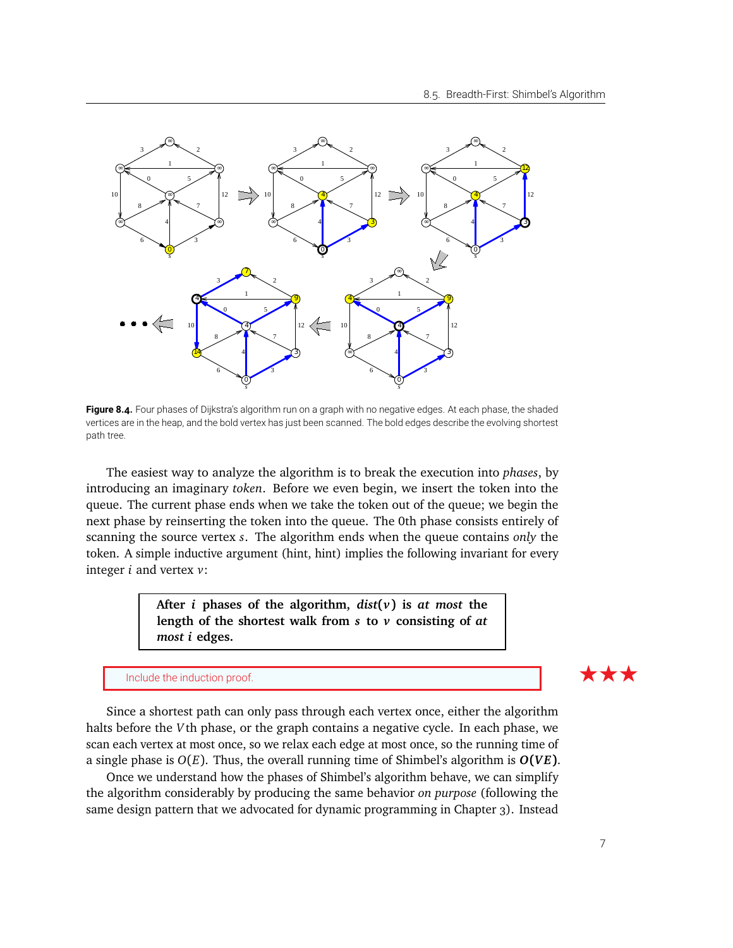

**Figure 8.4.** Four phases of Dijkstra's algorithm run on a graph with no negative edges. At each phase, the shaded vertices are in the heap, and the bold vertex has just been scanned. The bold edges describe the evolving shortest path tree.

The easiest way to analyze the algorithm is to break the execution into *phases*, by introducing an imaginary *token*. Before we even begin, we insert the token into the queue. The current phase ends when we take the token out of the queue; we begin the next phase by reinserting the token into the queue. The 0th phase consists entirely of scanning the source vertex *s*. The algorithm ends when the queue contains *only* the token. A simple inductive argument (hint, hint) implies the following invariant for every integer *i* and vertex *v*:

> After *i* phases of the algorithm,  $dist(v)$  is *at most* the **length of the shortest walk from** *s* **to** *v* **consisting of** *at most i* **edges.**

Include the induction proof.

Since a shortest path can only pass through each vertex once, either the algorithm halts before the *V*th phase, or the graph contains a negative cycle. In each phase, we scan each vertex at most once, so we relax each edge at most once, so the running time of a single phase is  $O(E)$ . Thus, the overall running time of Shimbel's algorithm is  $O(VE)$ .

Once we understand how the phases of Shimbel's algorithm behave, we can simplify the algorithm considerably by producing the same behavior *on purpose* (following the same design pattern that we advocated for dynamic programming in Chapter 3). Instead

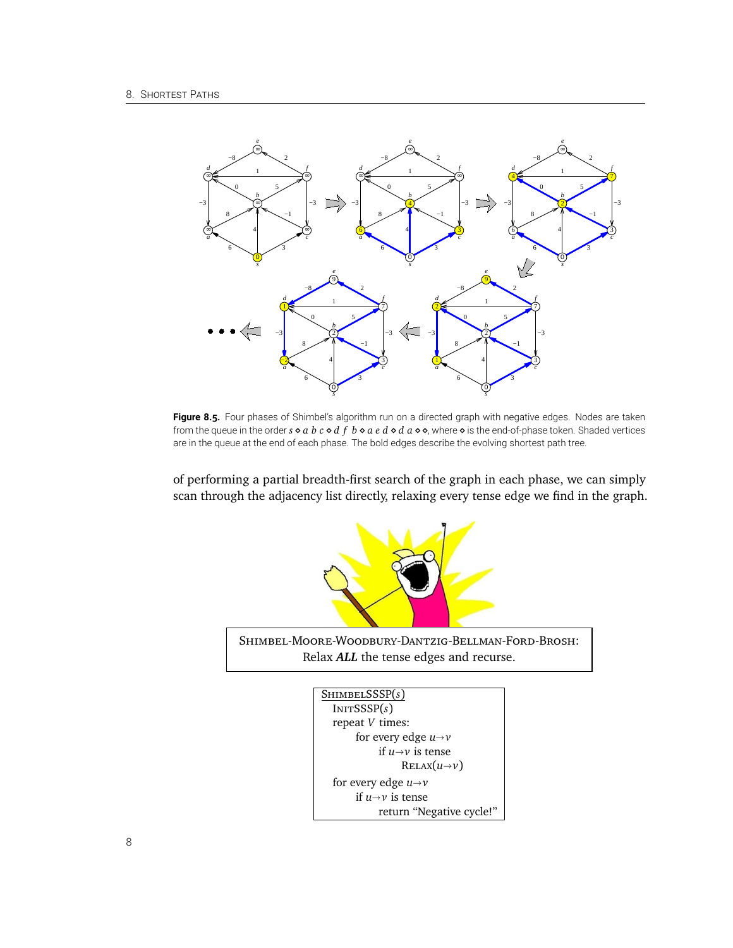

Figure 8.5. Four phases of Shimbel's algorithm run on a directed graph with negative edges. Nodes are taken from the queue in the order  $s \diamond a b c \diamond d f b \diamond a e d \diamond d a \diamond \diamond$ , where  $\diamond$  is the end-of-phase token. Shaded vertices are in the queue at the end of each phase. The bold edges describe the evolving shortest path tree.

of performing a partial breadth-first search of the graph in each phase, we can simply scan through the adjacency list directly, relaxing every tense edge we find in the graph.



Shimbel-Moore-Woodbury-Dantzig-Bellman-Ford-Brosh: Relax *ALL* the tense edges and recurse.

ShimbelSSSP(*s*) InitSSSP(*s*) repeat *V* times: for every edge  $u \rightarrow v$ if  $u \rightarrow v$  is tense  $RELAX(u\rightarrow v)$ for every edge  $u \rightarrow v$ if  $u \rightarrow v$  is tense return "Negative cycle!"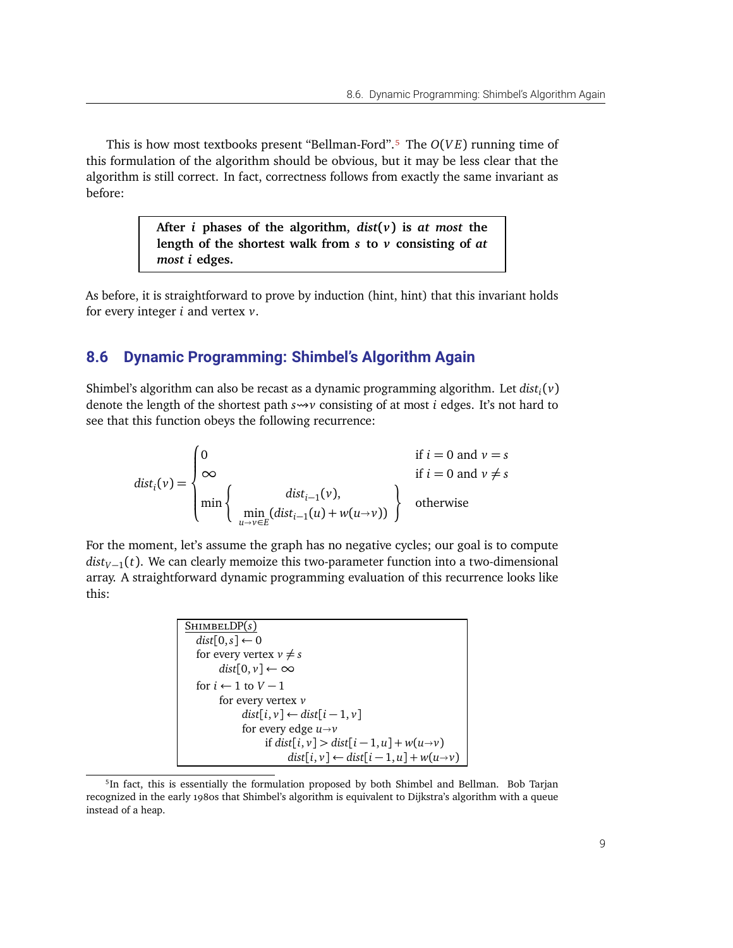This is how most textbooks present "Bellman-Ford".<sup>5</sup> The  $O(VE)$  running time of this formulation of the algorithm should be obvious, but it may be less clear that the algorithm is still correct. In fact, correctness follows from exactly the same invariant as before:

> After *i* phases of the algorithm,  $dist(v)$  is *at most* the **length of the shortest walk from** *s* **to** *v* **consisting of** *at most i* **edges.**

As before, it is straightforward to prove by induction (hint, hint) that this invariant holds for every integer *i* and vertex *v*.

## **8.6 Dynamic Programming: Shimbel's Algorithm Again**

Shimbel's algorithm can also be recast as a dynamic programming algorithm. Let *dist<sup>i</sup>* (*v*) denote the length of the shortest path *s v* consisting of at most *i* edges. It's not hard to see that this function obeys the following recurrence:

$$
dist_i(v) = \begin{cases} 0 & \text{if } i = 0 \text{ and } v = s \\ \infty & \text{if } i = 0 \text{ and } v \neq s \\ \min \left\{ \min_{u \to v \in E} (dist_{i-1}(u) + w(u \to v)) \right\} & \text{otherwise} \end{cases}
$$

For the moment, let's assume the graph has no negative cycles; our goal is to compute *distV*−<sup>1</sup> (*t*). We can clearly memoize this two-parameter function into a two-dimensional array. A straightforward dynamic programming evaluation of this recurrence looks like this:

| $S$ HIMBEL $DP(s)$                                       |
|----------------------------------------------------------|
| $dist[0,s] \leftarrow 0$                                 |
| for every vertex $v \neq s$                              |
| $dist[0, v] \leftarrow \infty$                           |
| for $i \leftarrow 1$ to $V - 1$                          |
| for every vertex $\nu$                                   |
| $dist[i, v] \leftarrow dist[i - 1, v]$                   |
| for every edge $u \rightarrow v$                         |
| if dist[i, v] > dist[i - 1, u] + w(u-v)                  |
| $dist[i, v] \leftarrow dist[i-1, u] + w(u\rightarrow v)$ |
|                                                          |

<span id="page-8-0"></span><sup>&</sup>lt;sup>5</sup>In fact, this is essentially the formulation proposed by both Shimbel and Bellman. Bob Tarian recognized in the early 1980s that Shimbel's algorithm is equivalent to Dijkstra's algorithm with a queue instead of a heap.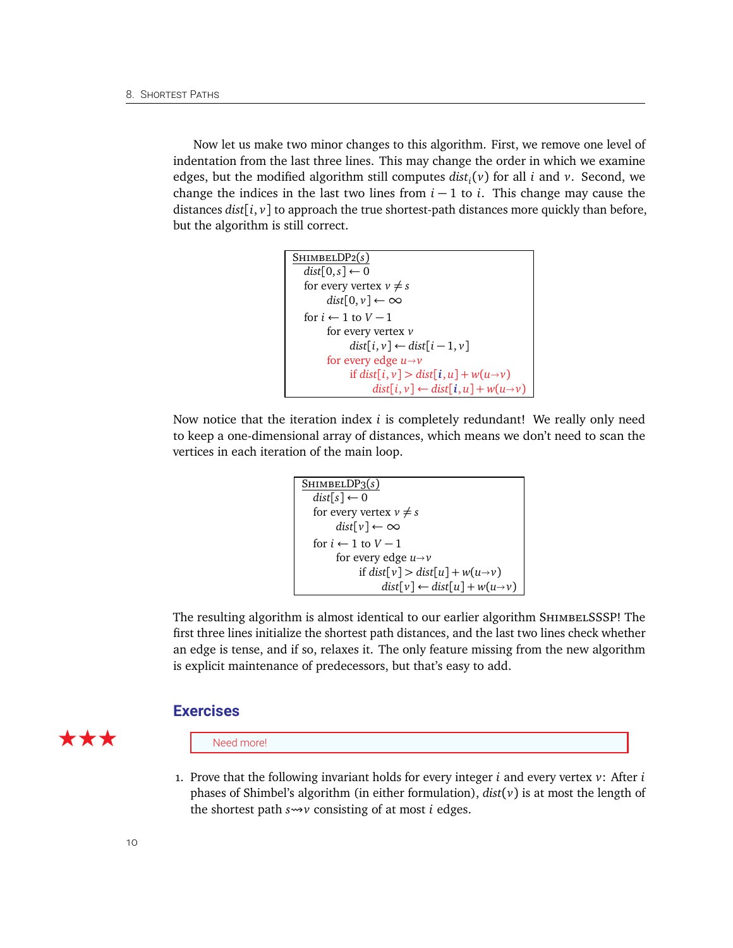Now let us make two minor changes to this algorithm. First, we remove one level of indentation from the last three lines. This may change the order in which we examine edges, but the modified algorithm still computes *dist<sup>i</sup>* (*v*) for all *i* and *v*. Second, we change the indices in the last two lines from  $i - 1$  to *i*. This change may cause the distances *dist*[*i*, *v*] to approach the true shortest-path distances more quickly than before, but the algorithm is still correct.

```
ShimbelDP2(s)
dist[0,s] \leftarrow 0for every vertex v \neq sdist[0, v] \leftarrow \inftyfor i \leftarrow 1 to V - 1for every vertex v
             dist[i, v] ← dist[i - 1, v]for every edge u \rightarrow vif dist[i, v] > dist[i, u] + w(u \rightarrow v)dist[i, v] \leftarrow dist[i, u] + w(u \rightarrow v)
```
Now notice that the iteration index *i* is completely redundant! We really only need to keep a one-dimensional array of distances, which means we don't need to scan the vertices in each iteration of the main loop.

```
ShimbelDP3(s)
dist[s] \leftarrow 0for every vertex v \neq sdist[v] ← ∞
for i \leftarrow 1 to V - 1for every edge u \rightarrow vif dist[v] > dist[u] + w(u\rightarrow v)dist[v] \leftarrow dist[u] + w(u \rightarrow v)
```
The resulting algorithm is almost identical to our earlier algorithm ShimbelSSSP! The first three lines initialize the shortest path distances, and the last two lines check whether an edge is tense, and if so, relaxes it. The only feature missing from the new algorithm is explicit maintenance of predecessors, but that's easy to add.

## **Exercises**



1. Prove that the following invariant holds for every integer *i* and every vertex *v*: After *i* phases of Shimbel's algorithm (in either formulation),  $dist(v)$  is at most the length of the shortest path  $s \rightarrow v$  consisting of at most *i* edges.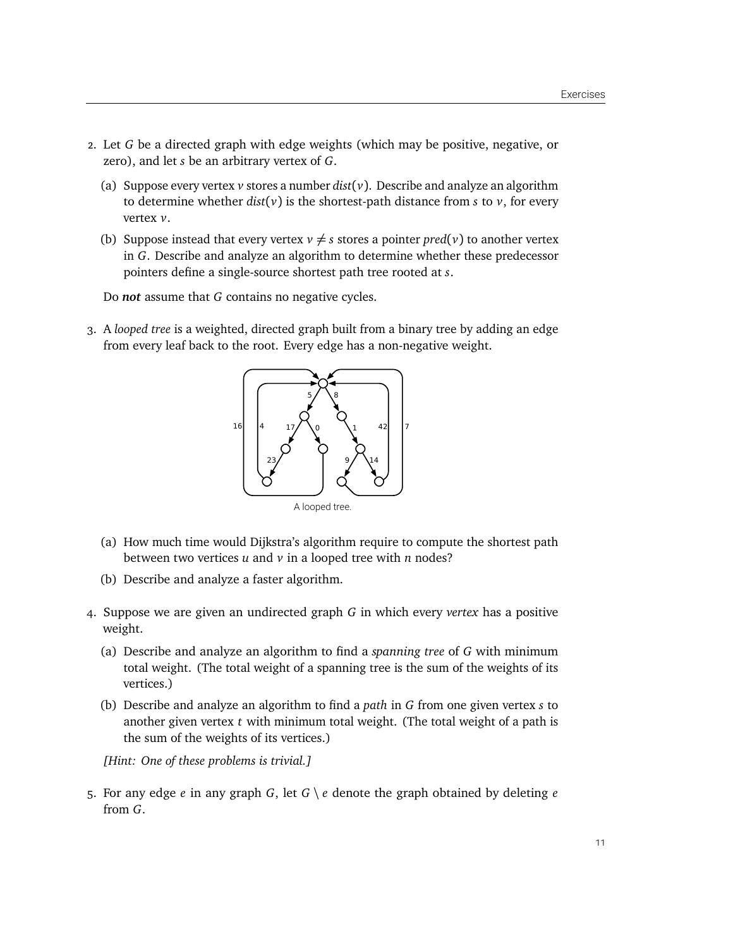- 2. Let *G* be a directed graph with edge weights (which may be positive, negative, or zero), and let *s* be an arbitrary vertex of *G*.
	- (a) Suppose every vertex *v* stores a number *dist*(*v*). Describe and analyze an algorithm to determine whether  $dist(v)$  is the shortest-path distance from *s* to *v*, for every vertex *v*.
	- (b) Suppose instead that every vertex  $v \neq s$  stores a pointer *pred*(*v*) to another vertex in *G*. Describe and analyze an algorithm to determine whether these predecessor pointers define a single-source shortest path tree rooted at *s*.

Do *not* assume that *G* contains no negative cycles.

3. A *looped tree* is a weighted, directed graph built from a binary tree by adding an edge from every leaf back to the root. Every edge has a non-negative weight.



- (a) How much time would Dijkstra's algorithm require to compute the shortest path between two vertices *u* and *v* in a looped tree with *n* nodes?
- (b) Describe and analyze a faster algorithm.
- 4. Suppose we are given an undirected graph *G* in which every *vertex* has a positive weight.
	- (a) Describe and analyze an algorithm to find a *spanning tree* of *G* with minimum total weight. (The total weight of a spanning tree is the sum of the weights of its vertices.)
	- (b) Describe and analyze an algorithm to find a *path* in *G* from one given vertex *s* to another given vertex *t* with minimum total weight. (The total weight of a path is the sum of the weights of its vertices.)

*[Hint: One of these problems is trivial.]*

5. For any edge *e* in any graph *G*, let *G*  $\ e$  denote the graph obtained by deleting *e* from *G*.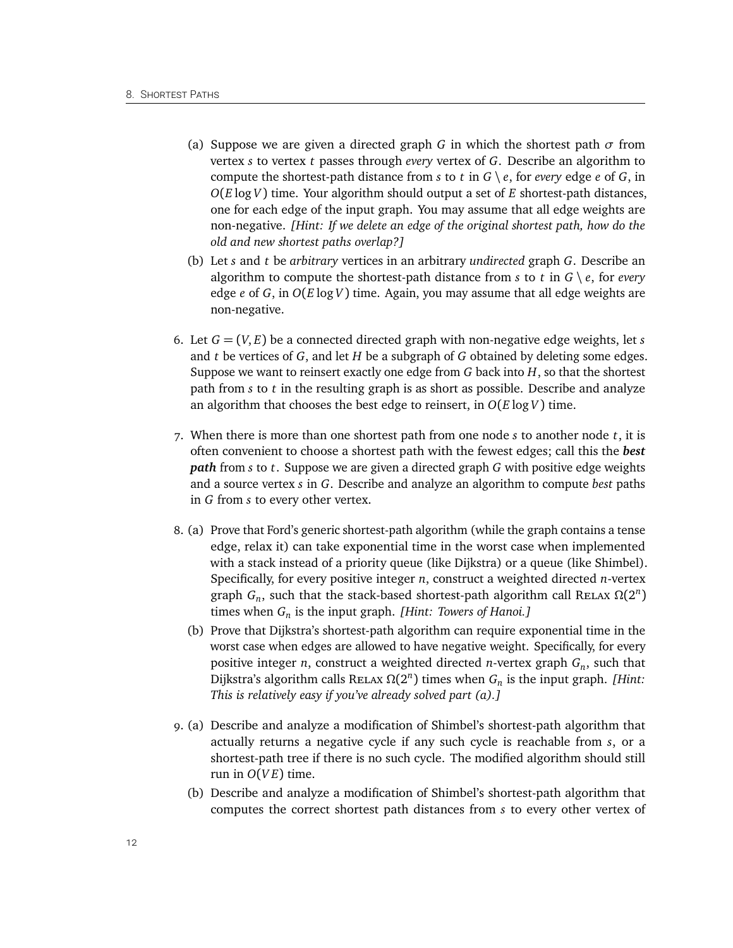- (a) Suppose we are given a directed graph *G* in which the shortest path  $\sigma$  from vertex *s* to vertex *t* passes through *every* vertex of *G*. Describe an algorithm to compute the shortest-path distance from *s* to *t* in  $G \setminus e$ , for *every* edge *e* of *G*, in *O*(*E* log *V*) time. Your algorithm should output a set of *E* shortest-path distances, one for each edge of the input graph. You may assume that all edge weights are non-negative. *[Hint: If we delete an edge of the original shortest path, how do the old and new shortest paths overlap?]*
- (b) Let *s* and *t* be *arbitrary* vertices in an arbitrary *undirected* graph *G*. Describe an algorithm to compute the shortest-path distance from *s* to *t* in  $G \setminus e$ , for *every* edge *e* of *G*, in *O*(*E* log *V*) time. Again, you may assume that all edge weights are non-negative.
- 6. Let  $G = (V, E)$  be a connected directed graph with non-negative edge weights, let *s* and *t* be vertices of *G*, and let *H* be a subgraph of *G* obtained by deleting some edges. Suppose we want to reinsert exactly one edge from *G* back into *H*, so that the shortest path from *s* to *t* in the resulting graph is as short as possible. Describe and analyze an algorithm that chooses the best edge to reinsert, in *O*(*E* log *V*) time.
- 7. When there is more than one shortest path from one node *s* to another node *t*, it is often convenient to choose a shortest path with the fewest edges; call this the *best path* from *s* to *t*. Suppose we are given a directed graph *G* with positive edge weights and a source vertex *s* in *G*. Describe and analyze an algorithm to compute *best* paths in *G* from *s* to every other vertex.
- 8. (a) Prove that Ford's generic shortest-path algorithm (while the graph contains a tense edge, relax it) can take exponential time in the worst case when implemented with a stack instead of a priority queue (like Dijkstra) or a queue (like Shimbel). Specifically, for every positive integer *n*, construct a weighted directed *n*-vertex graph  $G_n$ , such that the stack-based shortest-path algorithm call RELAX  $\Omega(2^n)$ times when *G<sup>n</sup>* is the input graph. *[Hint: Towers of Hanoi.]*
	- (b) Prove that Dijkstra's shortest-path algorithm can require exponential time in the worst case when edges are allowed to have negative weight. Specifically, for every positive integer *n*, construct a weighted directed *n*-vertex graph *G<sup>n</sup>* , such that Dijkstra's algorithm calls Relax *Ω*(2 *n* ) times when *G<sup>n</sup>* is the input graph. *[Hint: This is relatively easy if you've already solved part (a).]*
- 9. (a) Describe and analyze a modification of Shimbel's shortest-path algorithm that actually returns a negative cycle if any such cycle is reachable from *s*, or a shortest-path tree if there is no such cycle. The modified algorithm should still run in  $O(VE)$  time.
	- (b) Describe and analyze a modification of Shimbel's shortest-path algorithm that computes the correct shortest path distances from *s* to every other vertex of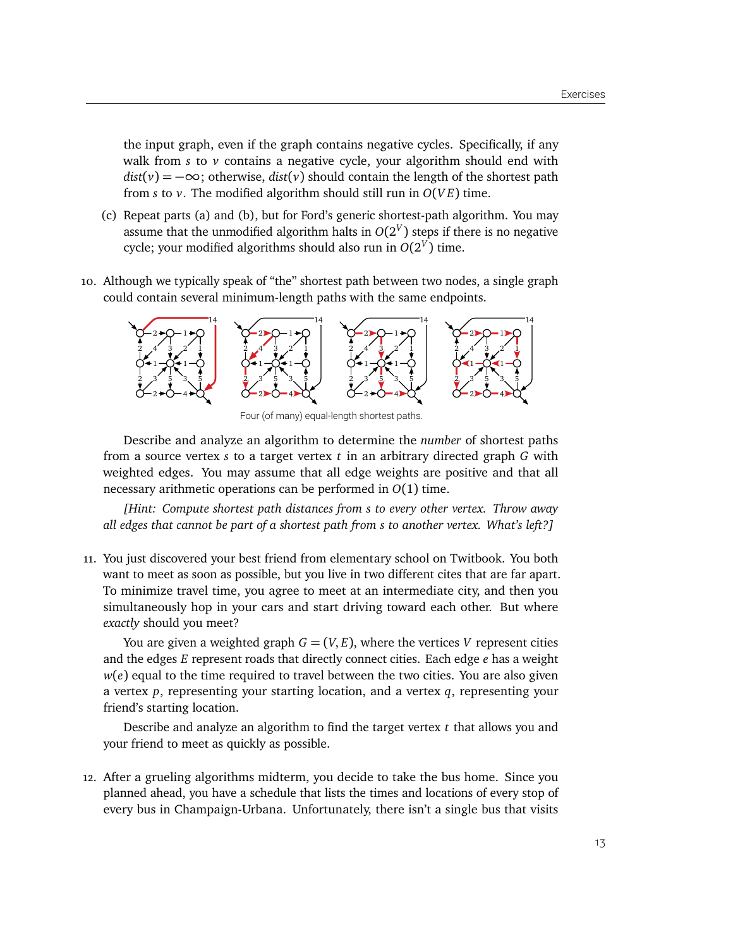the input graph, even if the graph contains negative cycles. Specifically, if any walk from *s* to *v* contains a negative cycle, your algorithm should end with  $dist(v) = -\infty$ ; otherwise,  $dist(v)$  should contain the length of the shortest path from *s* to *v*. The modified algorithm should still run in *O*(*V E*) time.

- (c) Repeat parts (a) and (b), but for Ford's generic shortest-path algorithm. You may assume that the unmodified algorithm halts in  $O(2^V)$  steps if there is no negative cycle; your modified algorithms should also run in  $O(2^V)$  time.
- 10. Although we typically speak of "the" shortest path between two nodes, a single graph could contain several minimum-length paths with the same endpoints.



Four (of many) equal-length shortest paths.

Describe and analyze an algorithm to determine the *number* of shortest paths from a source vertex *s* to a target vertex *t* in an arbitrary directed graph *G* with weighted edges. You may assume that all edge weights are positive and that all necessary arithmetic operations can be performed in *O*(1) time.

*[Hint: Compute shortest path distances from s to every other vertex. Throw away all edges that cannot be part of a shortest path from s to another vertex. What's left?]*

11. You just discovered your best friend from elementary school on Twitbook. You both want to meet as soon as possible, but you live in two different cites that are far apart. To minimize travel time, you agree to meet at an intermediate city, and then you simultaneously hop in your cars and start driving toward each other. But where *exactly* should you meet?

You are given a weighted graph  $G = (V, E)$ , where the vertices V represent cities and the edges *E* represent roads that directly connect cities. Each edge *e* has a weight  $w(e)$  equal to the time required to travel between the two cities. You are also given a vertex *p*, representing your starting location, and a vertex *q*, representing your friend's starting location.

Describe and analyze an algorithm to find the target vertex *t* that allows you and your friend to meet as quickly as possible.

12. After a grueling algorithms midterm, you decide to take the bus home. Since you planned ahead, you have a schedule that lists the times and locations of every stop of every bus in Champaign-Urbana. Unfortunately, there isn't a single bus that visits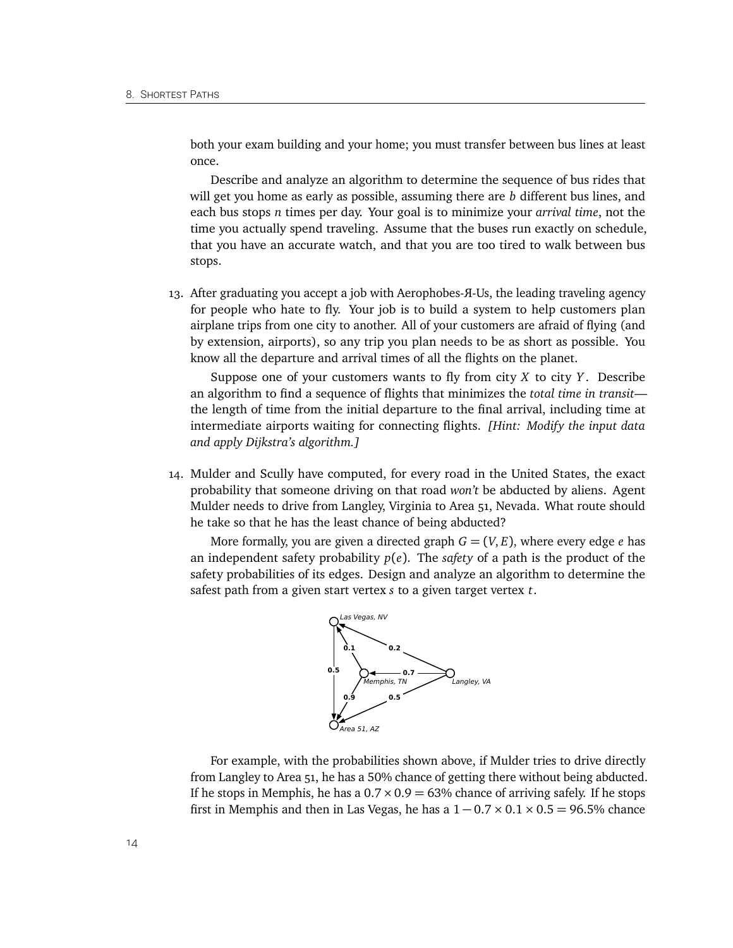both your exam building and your home; you must transfer between bus lines at least once.

Describe and analyze an algorithm to determine the sequence of bus rides that will get you home as early as possible, assuming there are *b* different bus lines, and each bus stops *n* times per day. Your goal is to minimize your *arrival time*, not the time you actually spend traveling. Assume that the buses run exactly on schedule, that you have an accurate watch, and that you are too tired to walk between bus stops.

13. After graduating you accept a job with Aerophobes- <sup>R</sup>-Us, the leading traveling agency for people who hate to fly. Your job is to build a system to help customers plan airplane trips from one city to another. All of your customers are afraid of flying (and by extension, airports), so any trip you plan needs to be as short as possible. You know all the departure and arrival times of all the flights on the planet.

Suppose one of your customers wants to fly from city *X* to city *Y* . Describe an algorithm to find a sequence of flights that minimizes the *total time in transit* the length of time from the initial departure to the final arrival, including time at intermediate airports waiting for connecting flights. *[Hint: Modify the input data and apply Dijkstra's algorithm.]*

14. Mulder and Scully have computed, for every road in the United States, the exact probability that someone driving on that road *won't* be abducted by aliens. Agent Mulder needs to drive from Langley, Virginia to Area 51, Nevada. What route should he take so that he has the least chance of being abducted?

More formally, you are given a directed graph  $G = (V, E)$ , where every edge *e* has an independent safety probability  $p(e)$ . The *safety* of a path is the product of the safety probabilities of its edges. Design and analyze an algorithm to determine the safest path from a given start vertex *s* to a given target vertex *t*.



For example, with the probabilities shown above, if Mulder tries to drive directly from Langley to Area 51, he has a 50% chance of getting there without being abducted. If he stops in Memphis, he has a  $0.7 \times 0.9 = 63\%$  chance of arriving safely. If he stops first in Memphis and then in Las Vegas, he has a  $1 - 0.7 \times 0.1 \times 0.5 = 96.5\%$  chance